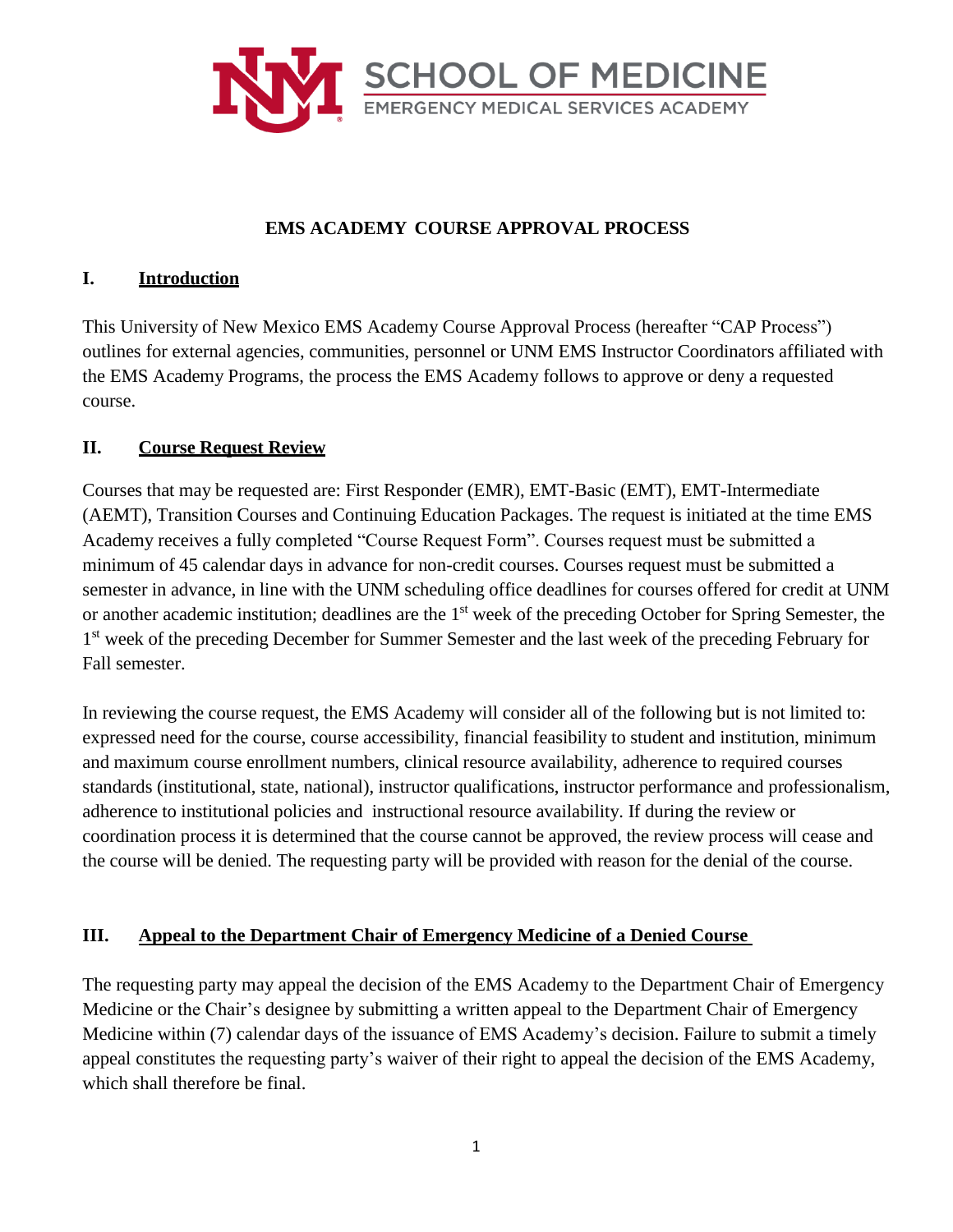

## **EMS ACADEMY COURSE APPROVAL PROCESS**

#### **I. Introduction**

This University of New Mexico EMS Academy Course Approval Process (hereafter "CAP Process") outlines for external agencies, communities, personnel or UNM EMS Instructor Coordinators affiliated with the EMS Academy Programs, the process the EMS Academy follows to approve or deny a requested course.

### **II. Course Request Review**

Courses that may be requested are: First Responder (EMR), EMT-Basic (EMT), EMT-Intermediate (AEMT), Transition Courses and Continuing Education Packages. The request is initiated at the time EMS Academy receives a fully completed "Course Request Form". Courses request must be submitted a minimum of 45 calendar days in advance for non-credit courses. Courses request must be submitted a semester in advance, in line with the UNM scheduling office deadlines for courses offered for credit at UNM or another academic institution; deadlines are the 1<sup>st</sup> week of the preceding October for Spring Semester, the 1<sup>st</sup> week of the preceding December for Summer Semester and the last week of the preceding February for Fall semester.

In reviewing the course request, the EMS Academy will consider all of the following but is not limited to: expressed need for the course, course accessibility, financial feasibility to student and institution, minimum and maximum course enrollment numbers, clinical resource availability, adherence to required courses standards (institutional, state, national), instructor qualifications, instructor performance and professionalism, adherence to institutional policies and instructional resource availability. If during the review or coordination process it is determined that the course cannot be approved, the review process will cease and the course will be denied. The requesting party will be provided with reason for the denial of the course.

### **III. Appeal to the Department Chair of Emergency Medicine of a Denied Course**

The requesting party may appeal the decision of the EMS Academy to the Department Chair of Emergency Medicine or the Chair's designee by submitting a written appeal to the Department Chair of Emergency Medicine within (7) calendar days of the issuance of EMS Academy's decision. Failure to submit a timely appeal constitutes the requesting party's waiver of their right to appeal the decision of the EMS Academy, which shall therefore be final.